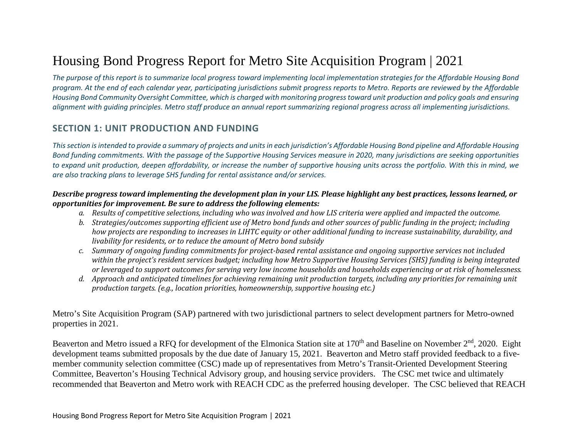# Housing Bond Progress Report for Metro Site Acquisition Program | 2021

*The purpose of this report is to summarize local progress toward implementing local implementation strategies for the Affordable Housing Bond program. At the end of each calendar year, participating jurisdictions submit progress reports to Metro. Reports are reviewed by the Affordable Housing Bond Community Oversight Committee, which is charged with monitoring progress toward unit production and policy goals and ensuring alignment with guiding principles. Metro staff produce an annual report summarizing regional progress across all implementing jurisdictions.* 

# **SECTION 1: UNIT PRODUCTION AND FUNDING**

*This section is intended to provide a summary of projects and units in each jurisdiction's Affordable Housing Bond pipeline and Affordable Housing Bond funding commitments. With the passage of the Supportive Housing Services measure in 2020, many jurisdictions are seeking opportunities to expand unit production, deepen affordability, or increase the number of supportive housing units across the portfolio. With this in mind, we are also tracking plans to leverage SHS funding for rental assistance and/or services.* 

## *Describe progress toward implementing the development plan in your LIS. Please highlight any best practices, lessons learned, or opportunities for improvement. Be sure to address the following elements:*

- *a. Results of competitive selections, including who was involved and how LIS criteria were applied and impacted the outcome.*
- *b. Strategies/outcomes supporting efficient use of Metro bond funds and other sources of public funding in the project; including how projects are responding to increases in LIHTC equity or other additional funding to increase sustainability, durability, and livability for residents, or to reduce the amount of Metro bond subsidy*
- *c. Summary of ongoing funding commitments for project-based rental assistance and ongoing supportive services not included within the project's resident services budget; including how Metro Supportive Housing Services (SHS) funding is being integrated or leveraged to support outcomes for serving very low income households and households experiencing or at risk of homelessness.*
- *d. Approach and anticipated timelines for achieving remaining unit production targets, including any priorities for remaining unit production targets. (e.g., location priorities, homeownership, supportive housing etc.)*

Metro's Site Acquisition Program (SAP) partnered with two jurisdictional partners to select development partners for Metro-owned properties in 2021.

Beaverton and Metro issued a RFQ for development of the Elmonica Station site at 170<sup>th</sup> and Baseline on November 2<sup>nd</sup>, 2020. Eight development teams submitted proposals by the due date of January 15, 2021. Beaverton and Metro staff provided feedback to a fivemember community selection committee (CSC) made up of representatives from Metro's Transit-Oriented Development Steering Committee, Beaverton's Housing Technical Advisory group, and housing service providers. The CSC met twice and ultimately recommended that Beaverton and Metro work with REACH CDC as the preferred housing developer. The CSC believed that REACH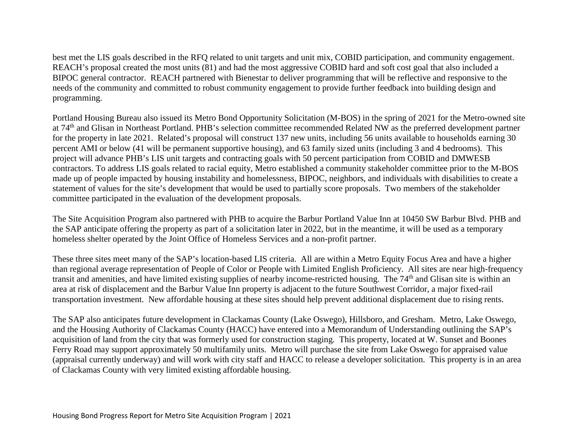best met the LIS goals described in the RFQ related to unit targets and unit mix, COBID participation, and community engagement. REACH's proposal created the most units (81) and had the most aggressive COBID hard and soft cost goal that also included a BIPOC general contractor. REACH partnered with Bienestar to deliver programming that will be reflective and responsive to the needs of the community and committed to robust community engagement to provide further feedback into building design and programming.

Portland Housing Bureau also issued its Metro Bond Opportunity Solicitation (M-BOS) in the spring of 2021 for the Metro-owned site at 74th and Glisan in Northeast Portland. PHB's selection committee recommended Related NW as the preferred development partner for the property in late 2021. Related's proposal will construct 137 new units, including 56 units available to households earning 30 percent AMI or below (41 will be permanent supportive housing), and 63 family sized units (including 3 and 4 bedrooms). This project will advance PHB's LIS unit targets and contracting goals with 50 percent participation from COBID and DMWESB contractors. To address LIS goals related to racial equity, Metro established a community stakeholder committee prior to the M-BOS made up of people impacted by housing instability and homelessness, BIPOC, neighbors, and individuals with disabilities to create a statement of values for the site's development that would be used to partially score proposals. Two members of the stakeholder committee participated in the evaluation of the development proposals.

The Site Acquisition Program also partnered with PHB to acquire the Barbur Portland Value Inn at 10450 SW Barbur Blvd. PHB and the SAP anticipate offering the property as part of a solicitation later in 2022, but in the meantime, it will be used as a temporary homeless shelter operated by the Joint Office of Homeless Services and a non-profit partner.

These three sites meet many of the SAP's location-based LIS criteria. All are within a Metro Equity Focus Area and have a higher than regional average representation of People of Color or People with Limited English Proficiency. All sites are near high-frequency transit and amenities, and have limited existing supplies of nearby income-restricted housing. The 74<sup>th</sup> and Glisan site is within an area at risk of displacement and the Barbur Value Inn property is adjacent to the future Southwest Corridor, a major fixed-rail transportation investment. New affordable housing at these sites should help prevent additional displacement due to rising rents.

The SAP also anticipates future development in Clackamas County (Lake Oswego), Hillsboro, and Gresham. Metro, Lake Oswego, and the Housing Authority of Clackamas County (HACC) have entered into a Memorandum of Understanding outlining the SAP's acquisition of land from the city that was formerly used for construction staging. This property, located at W. Sunset and Boones Ferry Road may support approximately 50 multifamily units. Metro will purchase the site from Lake Oswego for appraised value (appraisal currently underway) and will work with city staff and HACC to release a developer solicitation. This property is in an area of Clackamas County with very limited existing affordable housing.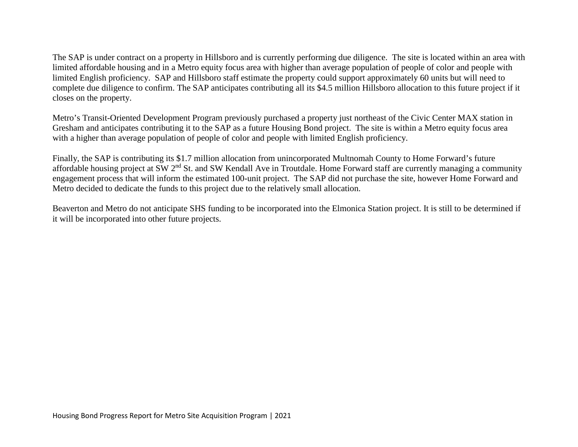The SAP is under contract on a property in Hillsboro and is currently performing due diligence. The site is located within an area with limited affordable housing and in a Metro equity focus area with higher than average population of people of color and people with limited English proficiency. SAP and Hillsboro staff estimate the property could support approximately 60 units but will need to complete due diligence to confirm. The SAP anticipates contributing all its \$4.5 million Hillsboro allocation to this future project if it closes on the property.

Metro's Transit-Oriented Development Program previously purchased a property just northeast of the Civic Center MAX station in Gresham and anticipates contributing it to the SAP as a future Housing Bond project. The site is within a Metro equity focus area with a higher than average population of people of color and people with limited English proficiency.

Finally, the SAP is contributing its \$1.7 million allocation from unincorporated Multnomah County to Home Forward's future affordable housing project at SW  $2<sup>nd</sup>$  St. and SW Kendall Ave in Troutdale. Home Forward staff are currently managing a community engagement process that will inform the estimated 100-unit project. The SAP did not purchase the site, however Home Forward and Metro decided to dedicate the funds to this project due to the relatively small allocation.

Beaverton and Metro do not anticipate SHS funding to be incorporated into the Elmonica Station project. It is still to be determined if it will be incorporated into other future projects.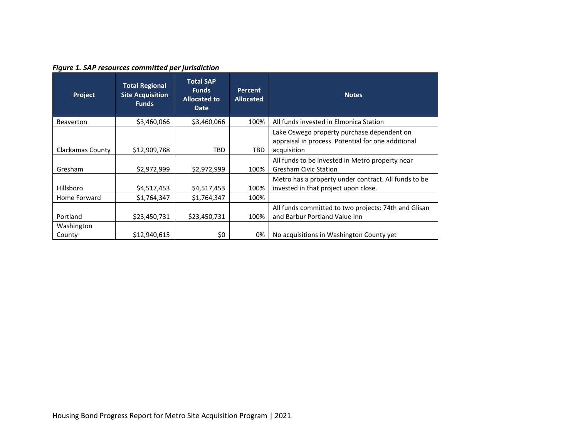# *Figure 1. SAP resources committed per jurisdiction*

| Project              | <b>Total Regional</b><br><b>Site Acquisition</b><br><b>Funds</b> | <b>Total SAP</b><br><b>Funds</b><br><b>Allocated to</b><br><b>Date</b> | <b>Percent</b><br><b>Allocated</b> | <b>Notes</b>                                                                                                    |
|----------------------|------------------------------------------------------------------|------------------------------------------------------------------------|------------------------------------|-----------------------------------------------------------------------------------------------------------------|
| <b>Beaverton</b>     | \$3,460,066                                                      | \$3,460,066                                                            | 100%                               | All funds invested in Elmonica Station                                                                          |
| Clackamas County     | \$12,909,788                                                     | TBD                                                                    | TBD.                               | Lake Oswego property purchase dependent on<br>appraisal in process. Potential for one additional<br>acquisition |
| Gresham              | \$2,972,999                                                      | \$2,972,999                                                            | 100%                               | All funds to be invested in Metro property near<br><b>Gresham Civic Station</b>                                 |
| Hillsboro            | \$4,517,453                                                      | \$4,517,453                                                            | 100%                               | Metro has a property under contract. All funds to be<br>invested in that project upon close.                    |
| Home Forward         | \$1,764,347                                                      | \$1,764,347                                                            | 100%                               |                                                                                                                 |
| Portland             | \$23,450,731                                                     | \$23,450,731                                                           | 100%                               | All funds committed to two projects: 74th and Glisan<br>and Barbur Portland Value Inn                           |
| Washington<br>County | \$12,940,615                                                     | \$0                                                                    | 0%                                 | No acquisitions in Washington County yet                                                                        |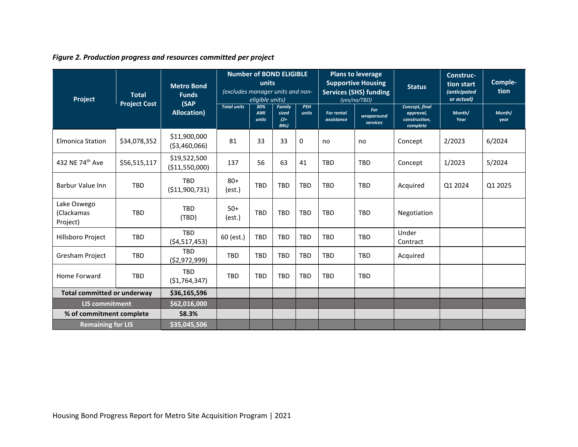|  | Figure 2. Production progress and resources committed per project |  |
|--|-------------------------------------------------------------------|--|
|  |                                                                   |  |

| Project                               | <b>Total</b>        | <b>Metro Bond</b><br><b>Funds</b><br>(SAP | <b>Number of BOND ELIGIBLE</b><br>units<br>(excludes manager units and non-<br>eligible units) |                     |                                           |                     | <b>Plans to leverage</b><br><b>Supportive Housing</b><br><b>Services (SHS) funding</b><br>(yes/no/TBD) | <b>Status</b>                 | Construc-<br>tion start<br><i>(anticipated</i><br>or actual) | Comple-<br>tion |                |
|---------------------------------------|---------------------|-------------------------------------------|------------------------------------------------------------------------------------------------|---------------------|-------------------------------------------|---------------------|--------------------------------------------------------------------------------------------------------|-------------------------------|--------------------------------------------------------------|-----------------|----------------|
|                                       | <b>Project Cost</b> | <b>Allocation</b> )                       | <b>Total units</b>                                                                             | 30%<br>AMI<br>units | Family<br>sized<br>$(2 +$<br><b>BRs</b> ) | <b>PSH</b><br>units | <b>For rental</b><br>assistance                                                                        | For<br>wraparound<br>services | Concept, final<br>approval,<br>construction,<br>complete     | Month/<br>Year  | Month/<br>year |
| <b>Elmonica Station</b>               | \$34,078,352        | \$11,900,000<br>( \$3,460,066)            | 81                                                                                             | 33                  | 33                                        | $\mathbf{0}$        | no                                                                                                     | no                            | Concept                                                      | 2/2023          | 6/2024         |
| 432 NE 74th Ave                       | \$56,515,117        | \$19,522,500<br>(\$11,550,000)            | 137                                                                                            | 56                  | 63                                        | 41                  | <b>TBD</b>                                                                                             | <b>TBD</b>                    | Concept                                                      | 1/2023          | 5/2024         |
| <b>Barbur Value Inn</b>               | <b>TBD</b>          | <b>TBD</b><br>( \$11,900,731)             | $80+$<br>(est.)                                                                                | <b>TBD</b>          | <b>TBD</b>                                | <b>TBD</b>          | <b>TBD</b>                                                                                             | <b>TBD</b>                    | Acquired                                                     | Q1 2024         | Q1 2025        |
| Lake Oswego<br>(Clackamas<br>Project) | <b>TBD</b>          | <b>TBD</b><br>(TBD)                       | $50+$<br>(est.)                                                                                | <b>TBD</b>          | <b>TBD</b>                                | <b>TBD</b>          | <b>TBD</b>                                                                                             | <b>TBD</b>                    | Negotiation                                                  |                 |                |
| Hillsboro Project                     | <b>TBD</b>          | <b>TBD</b><br>( \$4,517,453)              | 60 (est.)                                                                                      | <b>TBD</b>          | <b>TBD</b>                                | <b>TBD</b>          | <b>TBD</b>                                                                                             | <b>TBD</b>                    | Under<br>Contract                                            |                 |                |
| <b>Gresham Project</b>                | <b>TBD</b>          | <b>TBD</b><br>( \$2,972,999)              | <b>TBD</b>                                                                                     | <b>TBD</b>          | <b>TBD</b>                                | <b>TBD</b>          | <b>TBD</b>                                                                                             | <b>TBD</b>                    | Acquired                                                     |                 |                |
| Home Forward                          | <b>TBD</b>          | <b>TBD</b><br>( \$1,764,347)              | <b>TBD</b>                                                                                     | <b>TBD</b>          | <b>TBD</b>                                | <b>TBD</b>          | <b>TBD</b>                                                                                             | <b>TBD</b>                    |                                                              |                 |                |
| <b>Total committed or underway</b>    |                     | \$36,165,596                              |                                                                                                |                     |                                           |                     |                                                                                                        |                               |                                                              |                 |                |
| <b>LIS commitment</b>                 |                     | \$62,016,000                              |                                                                                                |                     |                                           |                     |                                                                                                        |                               |                                                              |                 |                |
| % of commitment complete              |                     | 58.3%                                     |                                                                                                |                     |                                           |                     |                                                                                                        |                               |                                                              |                 |                |
| <b>Remaining for LIS</b>              |                     | \$35,045,506                              |                                                                                                |                     |                                           |                     |                                                                                                        |                               |                                                              |                 |                |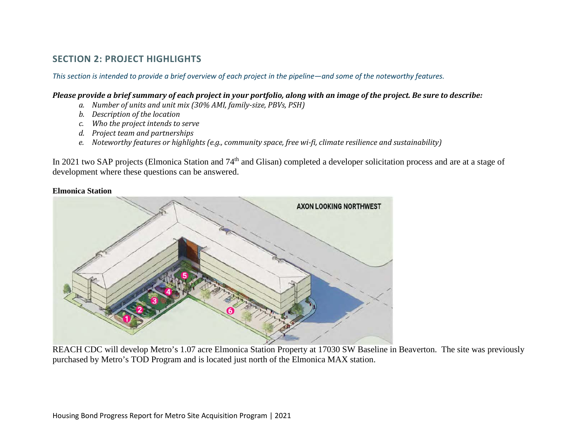# **SECTION 2: PROJECT HIGHLIGHTS**

*This section is intended to provide a brief overview of each project in the pipeline—and some of the noteworthy features.* 

## *Please provide a brief summary of each project in your portfolio, along with an image of the project. Be sure to describe:*

- *a. Number of units and unit mix (30% AMI, family-size, PBVs, PSH)*
- *b. Description of the location*
- *c. Who the project intends to serve*
- *d. Project team and partnerships*
- *e. Noteworthy features or highlights (e.g., community space, free wi-fi, climate resilience and sustainability)*

In 2021 two SAP projects (Elmonica Station and 74<sup>th</sup> and Glisan) completed a developer solicitation process and are at a stage of development where these questions can be answered.

#### **Elmonica Station**



REACH CDC will develop Metro's 1.07 acre Elmonica Station Property at 17030 SW Baseline in Beaverton. The site was previously purchased by Metro's TOD Program and is located just north of the Elmonica MAX station.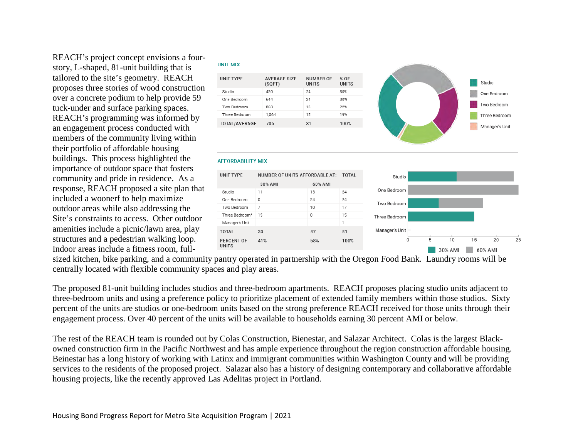REACH's project concept envisions a fourstory, L-shaped, 81-unit building that is tailored to the site's geometry. REACH proposes three stories of wood construction over a concrete podium to help provide 59 tuck-under and surface parking spaces. REACH's programming was informed by an engagement process conducted with members of the community living within their portfolio of affordable housing buildings. This process highlighted the importance of outdoor space that fosters community and pride in residence. As a response, REACH proposed a site plan that included a woonerf to help maximize outdoor areas while also addressing the Site's constraints to access. Other outdoor amenities include a picnic/lawn area, play structures and a pedestrian walking loop. Indoor areas include a fitness room, full-

#### **UNIT MIX**

| UNIT TYPE     | <b>AVERAGE SIZE</b><br>(SQFT) | <b>NUMBER OF</b><br>UNITS | % OF<br><b>UNITS</b> |
|---------------|-------------------------------|---------------------------|----------------------|
| Studio        | 420                           | 24                        | 30%                  |
| One Bedroom   | 644                           | 24                        | 30%                  |
| Two Bedroom   | 868                           | 18                        | 22%                  |
| Three Bedroom | 1.064                         | 15                        | 19%                  |
| TOTAL/AVERAGE | 705                           | 81                        | 100%                 |



#### **AFFORDABILITY MIX**

| <b>UNIT TYPE</b>           |            |         | NUMBER OF UNITS AFFORDABLE AT: TOTAL |                  | Studio |   |         |    |         |    |
|----------------------------|------------|---------|--------------------------------------|------------------|--------|---|---------|----|---------|----|
|                            | 30% AMI    | 60% AMI |                                      |                  |        |   |         |    |         |    |
| Studio                     | 11         | 13      | 24                                   | One Bedroom      |        |   |         |    |         |    |
| One Bedroom                | $^{\circ}$ | 24      | 24                                   | Two Bedroom      |        |   |         |    |         |    |
| Two Bedroom                | 7          | 10      | 17                                   |                  |        |   |         |    |         |    |
| Three Bedroom*             | 15         | 0       | 15                                   | Three Bedroom    |        |   |         |    |         |    |
| Manager's Unit             |            |         | ×,                                   |                  |        |   |         |    |         |    |
| <b>TOTAL</b>               | 33         | 47      | 81                                   | Manager's Unit - |        |   |         |    |         |    |
| <b>PERCENT OF</b><br>UNITS | 41%        | 58%     | 100%                                 | 0                |        | 5 | 10      | 15 | 20      | 25 |
|                            |            |         |                                      |                  |        |   | 30% AMI |    | 60% AMI |    |

sized kitchen, bike parking, and a community pantry operated in partnership with the Oregon Food Bank. Laundry rooms will be centrally located with flexible community spaces and play areas.

The proposed 81-unit building includes studios and three-bedroom apartments. REACH proposes placing studio units adjacent to three-bedroom units and using a preference policy to prioritize placement of extended family members within those studios. Sixty percent of the units are studios or one-bedroom units based on the strong preference REACH received for those units through their engagement process. Over 40 percent of the units will be available to households earning 30 percent AMI or below.

The rest of the REACH team is rounded out by Colas Construction, Bienestar, and Salazar Architect. Colas is the largest Blackowned construction firm in the Pacific Northwest and has ample experience throughout the region construction affordable housing. Beinestar has a long history of working with Latinx and immigrant communities within Washington County and will be providing services to the residents of the proposed project. Salazar also has a history of designing contemporary and collaborative affordable housing projects, like the recently approved Las Adelitas project in Portland.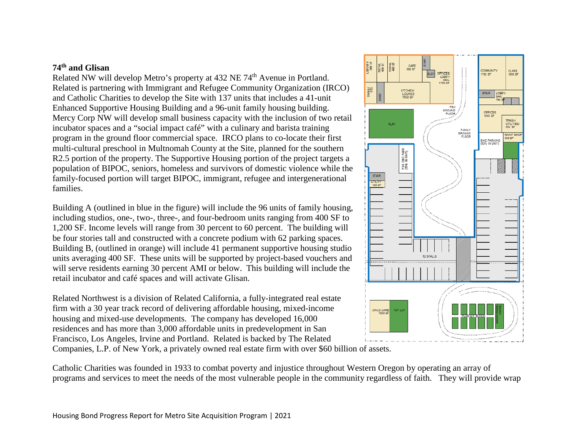# **74th and Glisan**

Related NW will develop Metro's property at 432 NE 74<sup>th</sup> Avenue in Portland. Related is partnering with Immigrant and Refugee Community Organization (IRCO) and Catholic Charities to develop the Site with 137 units that includes a 41-unit Enhanced Supportive Housing Building and a 96-unit family housing building. Mercy Corp NW will develop small business capacity with the inclusion of two retail incubator spaces and a "social impact café" with a culinary and barista training program in the ground floor commercial space. IRCO plans to co-locate their first multi-cultural preschool in Multnomah County at the Site, planned for the southern R2.5 portion of the property. The Supportive Housing portion of the project targets a population of BIPOC, seniors, homeless and survivors of domestic violence while the family-focused portion will target BIPOC, immigrant, refugee and intergenerational families.

Building A (outlined in blue in the figure) will include the 96 units of family housing, including studios, one-, two-, three-, and four-bedroom units ranging from 400 SF to 1,200 SF. Income levels will range from 30 percent to 60 percent. The building will be four stories tall and constructed with a concrete podium with 62 parking spaces. Building B, (outlined in orange) will include 41 permanent supportive housing studio units averaging 400 SF. These units will be supported by project-based vouchers and will serve residents earning 30 percent AMI or below. This building will include the retail incubator and café spaces and will activate Glisan.

Related Northwest is a division of Related California, a fully-integrated real estate firm with a 30 year track record of delivering affordable housing, mixed-income housing and mixed-use developments. The company has developed 16,000 residences and has more than 3,000 affordable units in predevelopment in San Francisco, Los Angeles, Irvine and Portland. Related is backed by The Related Companies, L.P. of New York, a privately owned real estate firm with over \$60 billion of assets.



Catholic Charities was founded in 1933 to combat poverty and injustice throughout Western Oregon by operating an array of programs and services to meet the needs of the most vulnerable people in the community regardless of faith. They will provide wrap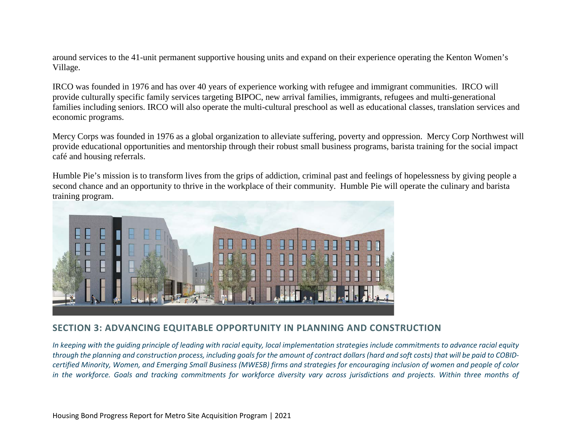around services to the 41-unit permanent supportive housing units and expand on their experience operating the Kenton Women's Village.

IRCO was founded in 1976 and has over 40 years of experience working with refugee and immigrant communities. IRCO will provide culturally specific family services targeting BIPOC, new arrival families, immigrants, refugees and multi-generational families including seniors. IRCO will also operate the multi-cultural preschool as well as educational classes, translation services and economic programs.

Mercy Corps was founded in 1976 as a global organization to alleviate suffering, poverty and oppression. Mercy Corp Northwest will provide educational opportunities and mentorship through their robust small business programs, barista training for the social impact café and housing referrals.

Humble Pie's mission is to transform lives from the grips of addiction, criminal past and feelings of hopelessness by giving people a second chance and an opportunity to thrive in the workplace of their community. Humble Pie will operate the culinary and barista training program.



# **SECTION 3: ADVANCING EQUITABLE OPPORTUNITY IN PLANNING AND CONSTRUCTION**

*In keeping with the guiding principle of leading with racial equity, local implementation strategies include commitments to advance racial equity through the planning and construction process, including goals for the amount of contract dollars (hard and soft costs) that will be paid to COBIDcertified Minority, Women, and Emerging Small Business (MWESB) firms and strategies for encouraging inclusion of women and people of color in the workforce. Goals and tracking commitments for workforce diversity vary across jurisdictions and projects. Within three months of*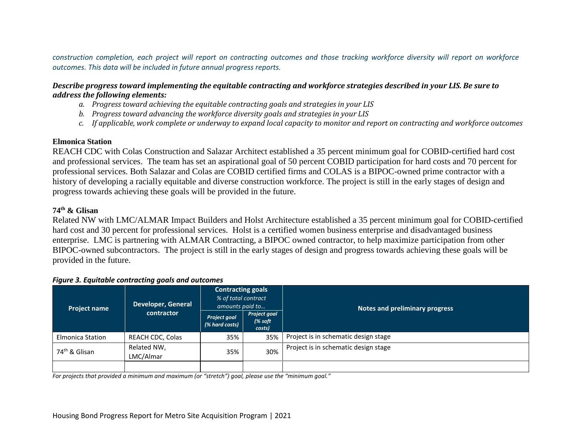*construction completion, each project will report on contracting outcomes and those tracking workforce diversity will report on workforce outcomes. This data will be included in future annual progress reports.* 

## *Describe progress toward implementing the equitable contracting and workforce strategies described in your LIS. Be sure to address the following elements:*

- *a. Progress toward achieving the equitable contracting goals and strategies in your LIS*
- *b. Progress toward advancing the workforce diversity goals and strategies in your LIS*
- *c. If applicable, work complete or underway to expand local capacity to monitor and report on contracting and workforce outcomes*

## **Elmonica Station**

REACH CDC with Colas Construction and Salazar Architect established a 35 percent minimum goal for COBID-certified hard cost and professional services. The team has set an aspirational goal of 50 percent COBID participation for hard costs and 70 percent for professional services. Both Salazar and Colas are COBID certified firms and COLAS is a BIPOC-owned prime contractor with a history of developing a racially equitable and diverse construction workforce. The project is still in the early stages of design and progress towards achieving these goals will be provided in the future.

## **74th & Glisan**

Related NW with LMC/ALMAR Impact Builders and Holst Architecture established a 35 percent minimum goal for COBID-certified hard cost and 30 percent for professional services. Holst is a certified women business enterprise and disadvantaged business enterprise. LMC is partnering with ALMAR Contracting, a BIPOC owned contractor, to help maximize participation from other BIPOC-owned subcontractors. The project is still in the early stages of design and progress towards achieving these goals will be provided in the future.

| <b>Project name</b>       | <b>Developer, General</b> | <b>Contracting goals</b><br>% of total contract<br>amounts paid to |                                              | Notes and preliminary progress       |
|---------------------------|---------------------------|--------------------------------------------------------------------|----------------------------------------------|--------------------------------------|
|                           | contractor                | <b>Project goal</b><br>(% hard costs)                              | Project goal<br>$\frac{1}{6}$ soft<br>costs) |                                      |
| <b>Elmonica Station</b>   | REACH CDC, Colas          | 35%                                                                | 35%                                          | Project is in schematic design stage |
| 74 <sup>th</sup> & Glisan | Related NW,<br>LMC/Almar  | 35%                                                                | 30%                                          | Project is in schematic design stage |
|                           |                           |                                                                    |                                              |                                      |

## *Figure 3. Equitable contracting goals and outcomes*

*For projects that provided a minimum and maximum (or "stretch") goal, please use the "minimum goal."*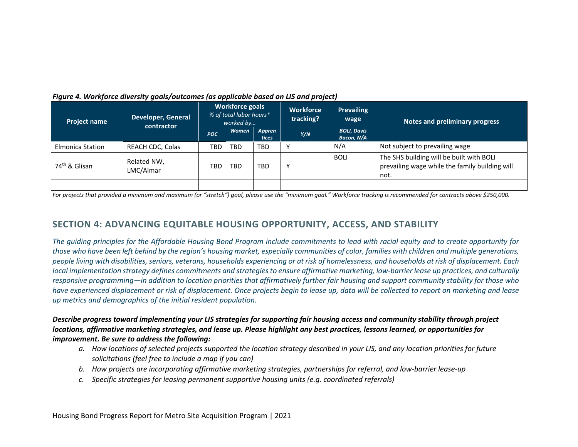| <b>Project name</b>       | Developer, General<br>contractor | <b>Workforce goals</b><br>% of total labor hours*<br>worked by |              | <b>Workforce</b><br>tracking? | <b>Prevailing</b><br>wage | Notes and preliminary progress   |                                                                                                    |  |
|---------------------------|----------------------------------|----------------------------------------------------------------|--------------|-------------------------------|---------------------------|----------------------------------|----------------------------------------------------------------------------------------------------|--|
|                           |                                  | POC.                                                           | <b>Women</b> | Appren<br><b>tices</b>        | Y/N                       | <b>BOLI, Davis</b><br>Bacon, N/A |                                                                                                    |  |
| <b>Elmonica Station</b>   | <b>REACH CDC, Colas</b>          | TBD                                                            | <b>TBD</b>   | <b>TBD</b>                    |                           | N/A                              | Not subject to prevailing wage                                                                     |  |
| 74 <sup>th</sup> & Glisan | Related NW,<br>LMC/Almar         | <b>TBD</b>                                                     | TBD          | <b>TBD</b>                    | ۷                         | <b>BOLI</b>                      | The SHS building will be built with BOLI<br>prevailing wage while the family building will<br>not. |  |
|                           |                                  |                                                                |              |                               |                           |                                  |                                                                                                    |  |

#### *Figure 4. Workforce diversity goals/outcomes (as applicable based on LIS and project)*

*For projects that provided a minimum and maximum (or "stretch") goal, please use the "minimum goal." Workforce tracking is recommended for contracts above \$250,000.*

# **SECTION 4: ADVANCING EQUITABLE HOUSING OPPORTUNITY, ACCESS, AND STABILITY**

*The guiding principles for the Affordable Housing Bond Program include commitments to lead with racial equity and to create opportunity for those who have been left behind by the region's housing market, especially communities of color, families with children and multiple generations, people living with disabilities, seniors, veterans, households experiencing or at risk of homelessness, and households at risk of displacement. Each local implementation strategy defines commitments and strategies to ensure affirmative marketing, low-barrier lease up practices, and culturally responsive programming—in addition to location priorities that affirmatively further fair housing and support community stability for those who have experienced displacement or risk of displacement. Once projects begin to lease up, data will be collected to report on marketing and lease up metrics and demographics of the initial resident population.* 

## *Describe progress toward implementing your LIS strategies for supporting fair housing access and community stability through project locations, affirmative marketing strategies, and lease up. Please highlight any best practices, lessons learned, or opportunities for improvement. Be sure to address the following:*

- *a. How locations of selected projects supported the location strategy described in your LIS, and any location priorities for future solicitations (feel free to include a map if you can)*
- *b. How projects are incorporating affirmative marketing strategies, partnerships for referral, and low-barrier lease-up*
- *c. Specific strategies for leasing permanent supportive housing units (e.g. coordinated referrals)*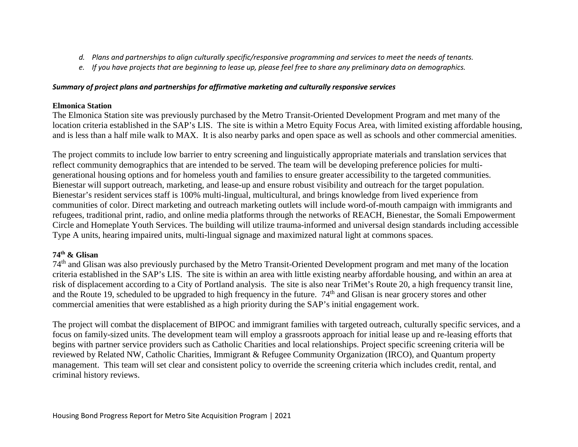- *d. Plans and partnerships to align culturally specific/responsive programming and services to meet the needs of tenants.*
- *e. If you have projects that are beginning to lease up, please feel free to share any preliminary data on demographics.*

## *Summary of project plans and partnerships for affirmative marketing and culturally responsive services*

# **Elmonica Station**

The Elmonica Station site was previously purchased by the Metro Transit-Oriented Development Program and met many of the location criteria established in the SAP's LIS. The site is within a Metro Equity Focus Area, with limited existing affordable housing, and is less than a half mile walk to MAX. It is also nearby parks and open space as well as schools and other commercial amenities.

The project commits to include low barrier to entry screening and linguistically appropriate materials and translation services that reflect community demographics that are intended to be served. The team will be developing preference policies for multigenerational housing options and for homeless youth and families to ensure greater accessibility to the targeted communities. Bienestar will support outreach, marketing, and lease-up and ensure robust visibility and outreach for the target population. Bienestar's resident services staff is 100% multi-lingual, multicultural, and brings knowledge from lived experience from communities of color. Direct marketing and outreach marketing outlets will include word-of-mouth campaign with immigrants and refugees, traditional print, radio, and online media platforms through the networks of REACH, Bienestar, the Somali Empowerment Circle and Homeplate Youth Services. The building will utilize trauma-informed and universal design standards including accessible Type A units, hearing impaired units, multi-lingual signage and maximized natural light at commons spaces.

# **74th & Glisan**

74th and Glisan was also previously purchased by the Metro Transit-Oriented Development program and met many of the location criteria established in the SAP's LIS. The site is within an area with little existing nearby affordable housing, and within an area at risk of displacement according to a City of Portland analysis. The site is also near TriMet's Route 20, a high frequency transit line, and the Route 19, scheduled to be upgraded to high frequency in the future. 74<sup>th</sup> and Glisan is near grocery stores and other commercial amenities that were established as a high priority during the SAP's initial engagement work.

The project will combat the displacement of BIPOC and immigrant families with targeted outreach, culturally specific services, and a focus on family-sized units. The development team will employ a grassroots approach for initial lease up and re-leasing efforts that begins with partner service providers such as Catholic Charities and local relationships. Project specific screening criteria will be reviewed by Related NW, Catholic Charities, Immigrant & Refugee Community Organization (IRCO), and Quantum property management. This team will set clear and consistent policy to override the screening criteria which includes credit, rental, and criminal history reviews.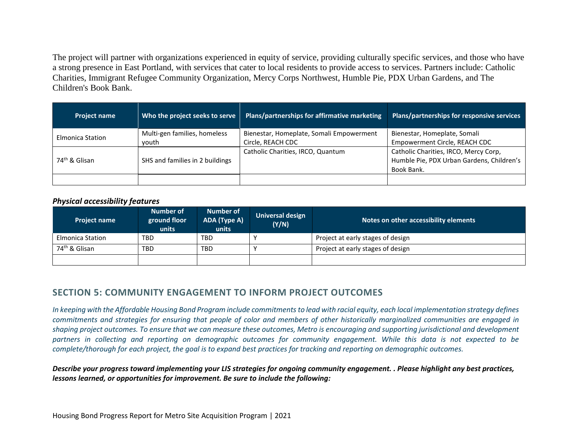The project will partner with organizations experienced in equity of service, providing culturally specific services, and those who have a strong presence in East Portland, with services that cater to local residents to provide access to services. Partners include: Catholic Charities, Immigrant Refugee Community Organization, Mercy Corps Northwest, Humble Pie, PDX Urban Gardens, and The Children's Book Bank.

| <b>Project name</b>       | Who the project seeks to serve        | Plans/partnerships for affirmative marketing                  | Plans/partnerships for responsive services                                                       |
|---------------------------|---------------------------------------|---------------------------------------------------------------|--------------------------------------------------------------------------------------------------|
| <b>Elmonica Station</b>   | Multi-gen families, homeless<br>vouth | Bienestar, Homeplate, Somali Empowerment<br>Circle, REACH CDC | Bienestar, Homeplate, Somali<br>Empowerment Circle, REACH CDC                                    |
| 74 <sup>th</sup> & Glisan | SHS and families in 2 buildings       | Catholic Charities, IRCO, Quantum                             | Catholic Charities, IRCO, Mercy Corp,<br>Humble Pie, PDX Urban Gardens, Children's<br>Book Bank. |
|                           |                                       |                                                               |                                                                                                  |

## *Physical accessibility features*

| Project name              | Number of<br>ground floor<br>units | Number of<br>ADA (Type A)<br>units | Universal design<br>(Y/N) | Notes on other accessibility elements |
|---------------------------|------------------------------------|------------------------------------|---------------------------|---------------------------------------|
| Elmonica Station          | TBD                                | <b>TBD</b>                         |                           | Project at early stages of design     |
| 74 <sup>th</sup> & Glisan | TBD                                | <b>TBD</b>                         |                           | Project at early stages of design     |
|                           |                                    |                                    |                           |                                       |

# **SECTION 5: COMMUNITY ENGAGEMENT TO INFORM PROJECT OUTCOMES**

*In keeping with the Affordable Housing Bond Program include commitments to lead with racial equity, each local implementation strategy defines commitments and strategies for ensuring that people of color and members of other historically marginalized communities are engaged in shaping project outcomes. To ensure that we can measure these outcomes, Metro is encouraging and supporting jurisdictional and development partners in collecting and reporting on demographic outcomes for community engagement. While this data is not expected to be complete/thorough for each project, the goal is to expand best practices for tracking and reporting on demographic outcomes.* 

*Describe your progress toward implementing your LIS strategies for ongoing community engagement. . Please highlight any best practices, lessons learned, or opportunities for improvement. Be sure to include the following:*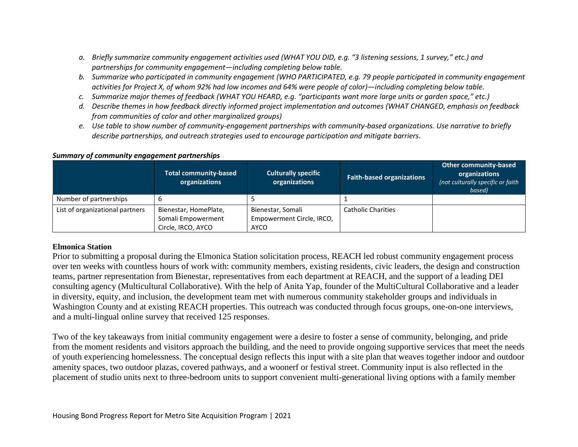- *a. Briefly summarize community engagement activities used (WHAT YOU DID, e.g. "3 listening sessions, 1 survey," etc.) and partnerships for community engagement—including completing below table.*
- *b. Summarize who participated in community engagement (WHO PARTICIPATED, e.g. 79 people participated in community engagement activities for Project X, of whom 92% had low incomes and 64% were people of color)—including completing below table.*
- *c. Summarize major themes of feedback (WHAT YOU HEARD, e.g. "participants want more large units or garden space," etc.)*
- *d. Describe themes in how feedback directly informed project implementation and outcomes (WHAT CHANGED, emphasis on feedback from communities of color and other marginalized groups)*
- *e. Use table to show number of community-engagement partnerships with community-based organizations. Use narrative to briefly describe partnerships, and outreach strategies used to encourage participation and mitigate barriers.*

#### *Summary of community engagement partnerships*

|                                 | <b>Total community-based</b><br>organizations                     | <b>Culturally specific</b><br>organizations            | <b>Faith-based organizations</b> | <b>Other community-based</b><br>organizations<br>(not culturally specific or faith)<br>based) |
|---------------------------------|-------------------------------------------------------------------|--------------------------------------------------------|----------------------------------|-----------------------------------------------------------------------------------------------|
| Number of partnerships          |                                                                   |                                                        |                                  |                                                                                               |
| List of organizational partners | Bienestar, HomePlate,<br>Somali Empowerment<br>Circle, IRCO, AYCO | Bienestar, Somali<br>Empowerment Circle, IRCO,<br>AYCO | <b>Catholic Charities</b>        |                                                                                               |

## **Elmonica Station**

Prior to submitting a proposal during the Elmonica Station solicitation process, REACH led robust community engagement process over ten weeks with countless hours of work with: community members, existing residents, civic leaders, the design and construction teams, partner representation from Bienestar, representatives from each department at REACH, and the support of a leading DEI consulting agency (Multicultural Collaborative). With the help of Anita Yap, founder of the MultiCultural Collaborative and a leader in diversity, equity, and inclusion, the development team met with numerous community stakeholder groups and individuals in Washington County and at existing REACH properties. This outreach was conducted through focus groups, one-on-one interviews, and a multi-lingual online survey that received 125 responses.

Two of the key takeaways from initial community engagement were a desire to foster a sense of community, belonging, and pride from the moment residents and visitors approach the building, and the need to provide ongoing supportive services that meet the needs of youth experiencing homelessness. The conceptual design reflects this input with a site plan that weaves together indoor and outdoor amenity spaces, two outdoor plazas, covered pathways, and a woonerf or festival street. Community input is also reflected in the placement of studio units next to three-bedroom units to support convenient multi-generational living options with a family member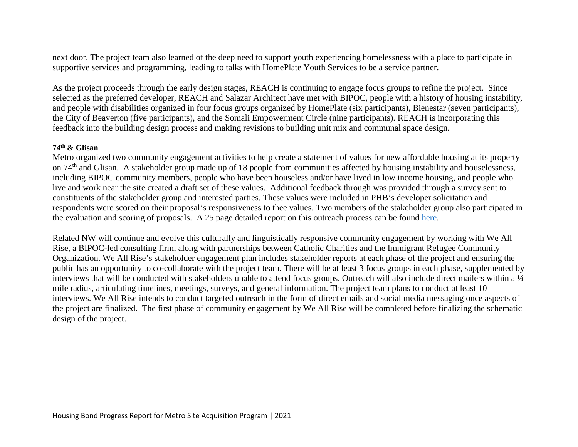next door. The project team also learned of the deep need to support youth experiencing homelessness with a place to participate in supportive services and programming, leading to talks with HomePlate Youth Services to be a service partner.

As the project proceeds through the early design stages, REACH is continuing to engage focus groups to refine the project. Since selected as the preferred developer, REACH and Salazar Architect have met with BIPOC, people with a history of housing instability, and people with disabilities organized in four focus groups organized by HomePlate (six participants), Bienestar (seven participants), the City of Beaverton (five participants), and the Somali Empowerment Circle (nine participants). REACH is incorporating this feedback into the building design process and making revisions to building unit mix and communal space design.

## **74th & Glisan**

Metro organized two community engagement activities to help create a statement of values for new affordable housing at its property on 74th and Glisan. A stakeholder group made up of 18 people from communities affected by housing instability and houselessness, including BIPOC community members, people who have been houseless and/or have lived in low income housing, and people who live and work near the site created a draft set of these values. Additional feedback through was provided through a survey sent to constituents of the stakeholder group and interested parties. These values were included in PHB's developer solicitation and respondents were scored on their proposal's responsiveness to thee values. Two members of the stakeholder group also participated in the evaluation and scoring of proposals. A 25 page detailed report on this outreach process can be found [here.](https://www.oregonmetro.gov/sites/default/files/2021/03/31/Glisan-affordable-housing-engagement-report-20210330.pdf)

Related NW will continue and evolve this culturally and linguistically responsive community engagement by working with We All Rise, a BIPOC-led consulting firm, along with partnerships between Catholic Charities and the Immigrant Refugee Community Organization. We All Rise's stakeholder engagement plan includes stakeholder reports at each phase of the project and ensuring the public has an opportunity to co-collaborate with the project team. There will be at least 3 focus groups in each phase, supplemented by interviews that will be conducted with stakeholders unable to attend focus groups. Outreach will also include direct mailers within a ¼ mile radius, articulating timelines, meetings, surveys, and general information. The project team plans to conduct at least 10 interviews. We All Rise intends to conduct targeted outreach in the form of direct emails and social media messaging once aspects of the project are finalized. The first phase of community engagement by We All Rise will be completed before finalizing the schematic design of the project.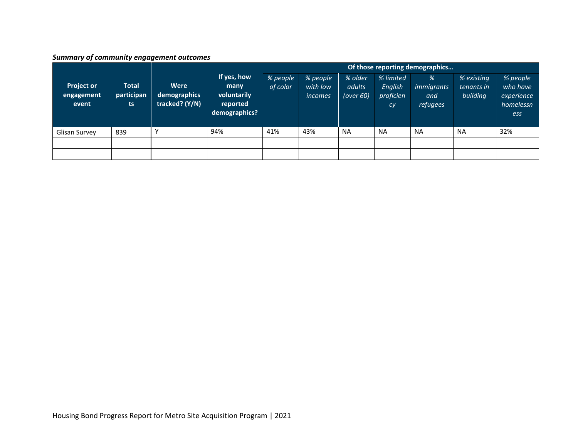# *Summary of community engagement outcomes*

|                                          |                                  |                                        |                                                                 | Of those reporting demographics |                                 |                                   |                                         |                                           |                                      |                                                        |  |  |
|------------------------------------------|----------------------------------|----------------------------------------|-----------------------------------------------------------------|---------------------------------|---------------------------------|-----------------------------------|-----------------------------------------|-------------------------------------------|--------------------------------------|--------------------------------------------------------|--|--|
| <b>Project or</b><br>engagement<br>event | <b>Total</b><br>participan<br>ts | Were<br>demographics<br>tracked? (Y/N) | If yes, how<br>many<br>voluntarily<br>reported<br>demographics? | % people<br>of color            | % people<br>with low<br>incomes | % older<br>adults<br>(over $60$ ) | % limited<br>English<br>proficien<br>cy | %<br><i>immigrants</i><br>and<br>refugees | % existing<br>tenants in<br>building | % people<br>who have<br>experience<br>homelessn<br>ess |  |  |
| Glisan Survey                            | 839                              |                                        | 94%                                                             | 41%                             | 43%                             | <b>NA</b>                         | <b>NA</b>                               | <b>NA</b>                                 | <b>NA</b>                            | 32%                                                    |  |  |
|                                          |                                  |                                        |                                                                 |                                 |                                 |                                   |                                         |                                           |                                      |                                                        |  |  |
|                                          |                                  |                                        |                                                                 |                                 |                                 |                                   |                                         |                                           |                                      |                                                        |  |  |